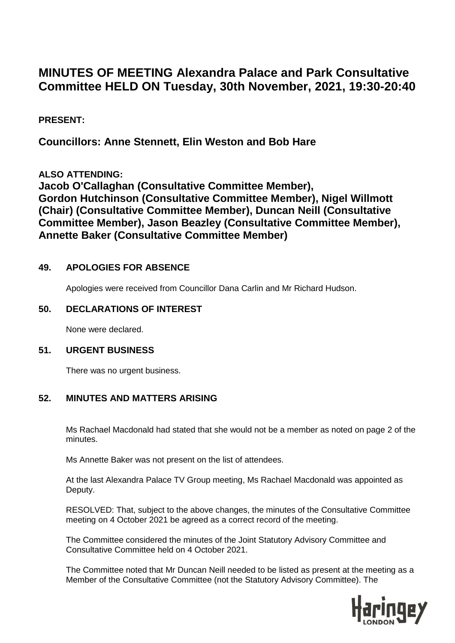# **MINUTES OF MEETING Alexandra Palace and Park Consultative Committee HELD ON Tuesday, 30th November, 2021, 19:30-20:40**

## **PRESENT:**

**Councillors: Anne Stennett, Elin Weston and Bob Hare**

**ALSO ATTENDING:** 

**Jacob O'Callaghan (Consultative Committee Member), Gordon Hutchinson (Consultative Committee Member), Nigel Willmott (Chair) (Consultative Committee Member), Duncan Neill (Consultative Committee Member), Jason Beazley (Consultative Committee Member), Annette Baker (Consultative Committee Member)**

### **49. APOLOGIES FOR ABSENCE**

Apologies were received from Councillor Dana Carlin and Mr Richard Hudson.

#### **50. DECLARATIONS OF INTEREST**

None were declared.

#### **51. URGENT BUSINESS**

There was no urgent business.

#### **52. MINUTES AND MATTERS ARISING**

Ms Rachael Macdonald had stated that she would not be a member as noted on page 2 of the minutes.

Ms Annette Baker was not present on the list of attendees.

At the last Alexandra Palace TV Group meeting, Ms Rachael Macdonald was appointed as Deputy.

RESOLVED: That, subject to the above changes, the minutes of the Consultative Committee meeting on 4 October 2021 be agreed as a correct record of the meeting.

The Committee considered the minutes of the Joint Statutory Advisory Committee and Consultative Committee held on 4 October 2021.

The Committee noted that Mr Duncan Neill needed to be listed as present at the meeting as a Member of the Consultative Committee (not the Statutory Advisory Committee). The

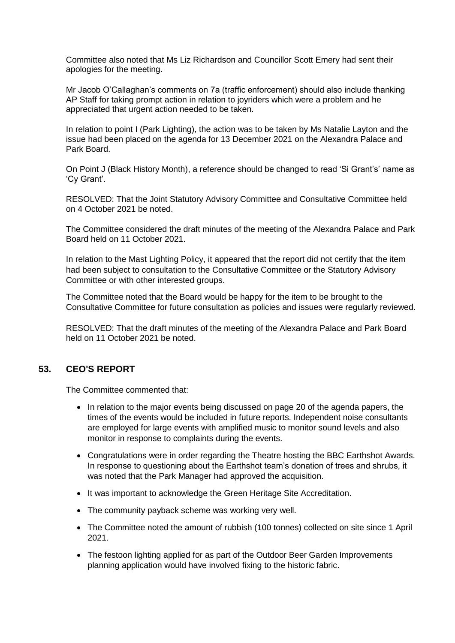Committee also noted that Ms Liz Richardson and Councillor Scott Emery had sent their apologies for the meeting.

Mr Jacob O'Callaghan's comments on 7a (traffic enforcement) should also include thanking AP Staff for taking prompt action in relation to joyriders which were a problem and he appreciated that urgent action needed to be taken.

In relation to point I (Park Lighting), the action was to be taken by Ms Natalie Layton and the issue had been placed on the agenda for 13 December 2021 on the Alexandra Palace and Park Board.

On Point J (Black History Month), a reference should be changed to read 'Si Grant's' name as 'Cy Grant'.

RESOLVED: That the Joint Statutory Advisory Committee and Consultative Committee held on 4 October 2021 be noted.

The Committee considered the draft minutes of the meeting of the Alexandra Palace and Park Board held on 11 October 2021.

In relation to the Mast Lighting Policy, it appeared that the report did not certify that the item had been subject to consultation to the Consultative Committee or the Statutory Advisory Committee or with other interested groups.

The Committee noted that the Board would be happy for the item to be brought to the Consultative Committee for future consultation as policies and issues were regularly reviewed.

RESOLVED: That the draft minutes of the meeting of the Alexandra Palace and Park Board held on 11 October 2021 be noted.

#### **53. CEO'S REPORT**

The Committee commented that:

- In relation to the major events being discussed on page 20 of the agenda papers, the times of the events would be included in future reports. Independent noise consultants are employed for large events with amplified music to monitor sound levels and also monitor in response to complaints during the events.
- Congratulations were in order regarding the Theatre hosting the BBC Earthshot Awards. In response to questioning about the Earthshot team's donation of trees and shrubs, it was noted that the Park Manager had approved the acquisition.
- It was important to acknowledge the Green Heritage Site Accreditation.
- The community payback scheme was working very well.
- The Committee noted the amount of rubbish (100 tonnes) collected on site since 1 April 2021.
- The festoon lighting applied for as part of the Outdoor Beer Garden Improvements planning application would have involved fixing to the historic fabric.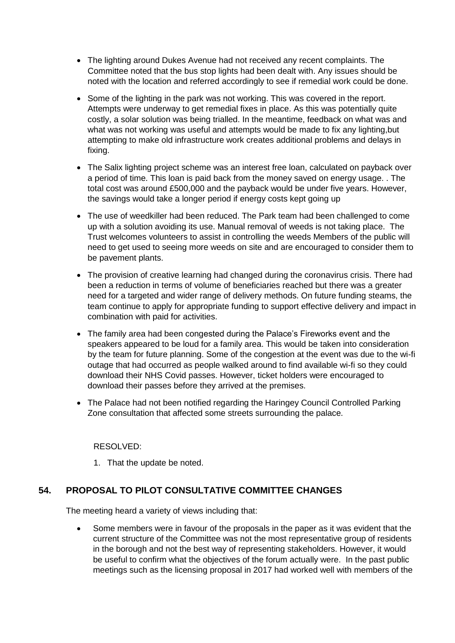- The lighting around Dukes Avenue had not received any recent complaints. The Committee noted that the bus stop lights had been dealt with. Any issues should be noted with the location and referred accordingly to see if remedial work could be done.
- Some of the lighting in the park was not working. This was covered in the report. Attempts were underway to get remedial fixes in place. As this was potentially quite costly, a solar solution was being trialled. In the meantime, feedback on what was and what was not working was useful and attempts would be made to fix any lighting,but attempting to make old infrastructure work creates additional problems and delays in fixing.
- The Salix lighting project scheme was an interest free loan, calculated on payback over a period of time. This loan is paid back from the money saved on energy usage. . The total cost was around £500,000 and the payback would be under five years. However, the savings would take a longer period if energy costs kept going up
- The use of weedkiller had been reduced. The Park team had been challenged to come up with a solution avoiding its use. Manual removal of weeds is not taking place. The Trust welcomes volunteers to assist in controlling the weeds Members of the public will need to get used to seeing more weeds on site and are encouraged to consider them to be pavement plants.
- The provision of creative learning had changed during the coronavirus crisis. There had been a reduction in terms of volume of beneficiaries reached but there was a greater need for a targeted and wider range of delivery methods. On future funding steams, the team continue to apply for appropriate funding to support effective delivery and impact in combination with paid for activities.
- The family area had been congested during the Palace's Fireworks event and the speakers appeared to be loud for a family area. This would be taken into consideration by the team for future planning. Some of the congestion at the event was due to the wi-fi outage that had occurred as people walked around to find available wi-fi so they could download their NHS Covid passes. However, ticket holders were encouraged to download their passes before they arrived at the premises.
- The Palace had not been notified regarding the Haringey Council Controlled Parking Zone consultation that affected some streets surrounding the palace.

#### RESOLVED:

1. That the update be noted.

## **54. PROPOSAL TO PILOT CONSULTATIVE COMMITTEE CHANGES**

The meeting heard a variety of views including that:

 Some members were in favour of the proposals in the paper as it was evident that the current structure of the Committee was not the most representative group of residents in the borough and not the best way of representing stakeholders. However, it would be useful to confirm what the objectives of the forum actually were. In the past public meetings such as the licensing proposal in 2017 had worked well with members of the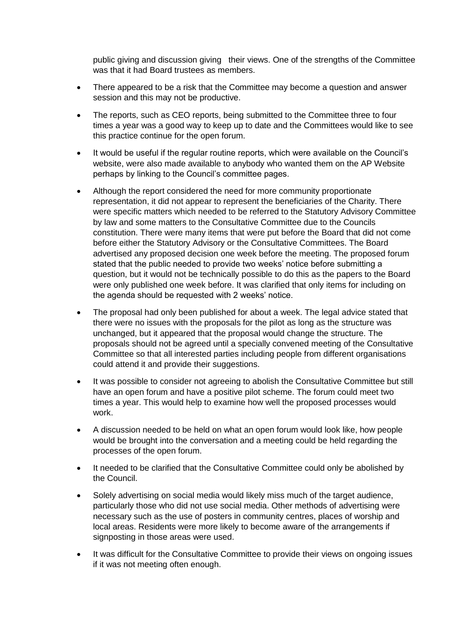public giving and discussion giving their views. One of the strengths of the Committee was that it had Board trustees as members.

- There appeared to be a risk that the Committee may become a question and answer session and this may not be productive.
- The reports, such as CEO reports, being submitted to the Committee three to four times a year was a good way to keep up to date and the Committees would like to see this practice continue for the open forum.
- It would be useful if the regular routine reports, which were available on the Council's website, were also made available to anybody who wanted them on the AP Website perhaps by linking to the Council's committee pages.
- Although the report considered the need for more community proportionate representation, it did not appear to represent the beneficiaries of the Charity. There were specific matters which needed to be referred to the Statutory Advisory Committee by law and some matters to the Consultative Committee due to the Councils constitution. There were many items that were put before the Board that did not come before either the Statutory Advisory or the Consultative Committees. The Board advertised any proposed decision one week before the meeting. The proposed forum stated that the public needed to provide two weeks' notice before submitting a question, but it would not be technically possible to do this as the papers to the Board were only published one week before. It was clarified that only items for including on the agenda should be requested with 2 weeks' notice.
- The proposal had only been published for about a week. The legal advice stated that there were no issues with the proposals for the pilot as long as the structure was unchanged, but it appeared that the proposal would change the structure. The proposals should not be agreed until a specially convened meeting of the Consultative Committee so that all interested parties including people from different organisations could attend it and provide their suggestions.
- It was possible to consider not agreeing to abolish the Consultative Committee but still have an open forum and have a positive pilot scheme. The forum could meet two times a year. This would help to examine how well the proposed processes would work.
- A discussion needed to be held on what an open forum would look like, how people would be brought into the conversation and a meeting could be held regarding the processes of the open forum.
- It needed to be clarified that the Consultative Committee could only be abolished by the Council.
- Solely advertising on social media would likely miss much of the target audience, particularly those who did not use social media. Other methods of advertising were necessary such as the use of posters in community centres, places of worship and local areas. Residents were more likely to become aware of the arrangements if signposting in those areas were used.
- It was difficult for the Consultative Committee to provide their views on ongoing issues if it was not meeting often enough.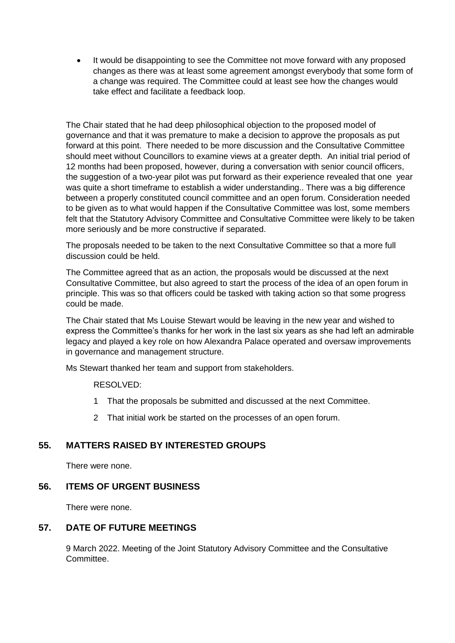It would be disappointing to see the Committee not move forward with any proposed changes as there was at least some agreement amongst everybody that some form of a change was required. The Committee could at least see how the changes would take effect and facilitate a feedback loop.

The Chair stated that he had deep philosophical objection to the proposed model of governance and that it was premature to make a decision to approve the proposals as put forward at this point. There needed to be more discussion and the Consultative Committee should meet without Councillors to examine views at a greater depth. An initial trial period of 12 months had been proposed, however, during a conversation with senior council officers, the suggestion of a two-year pilot was put forward as their experience revealed that one year was quite a short timeframe to establish a wider understanding.. There was a big difference between a properly constituted council committee and an open forum. Consideration needed to be given as to what would happen if the Consultative Committee was lost, some members felt that the Statutory Advisory Committee and Consultative Committee were likely to be taken more seriously and be more constructive if separated.

The proposals needed to be taken to the next Consultative Committee so that a more full discussion could be held.

The Committee agreed that as an action, the proposals would be discussed at the next Consultative Committee, but also agreed to start the process of the idea of an open forum in principle. This was so that officers could be tasked with taking action so that some progress could be made.

The Chair stated that Ms Louise Stewart would be leaving in the new year and wished to express the Committee's thanks for her work in the last six years as she had left an admirable legacy and played a key role on how Alexandra Palace operated and oversaw improvements in governance and management structure.

Ms Stewart thanked her team and support from stakeholders.

RESOLVED:

- 1 That the proposals be submitted and discussed at the next Committee.
- 2 That initial work be started on the processes of an open forum.

#### **55. MATTERS RAISED BY INTERESTED GROUPS**

There were none.

#### **56. ITEMS OF URGENT BUSINESS**

There were none.

#### **57. DATE OF FUTURE MEETINGS**

9 March 2022. Meeting of the Joint Statutory Advisory Committee and the Consultative **Committee.**